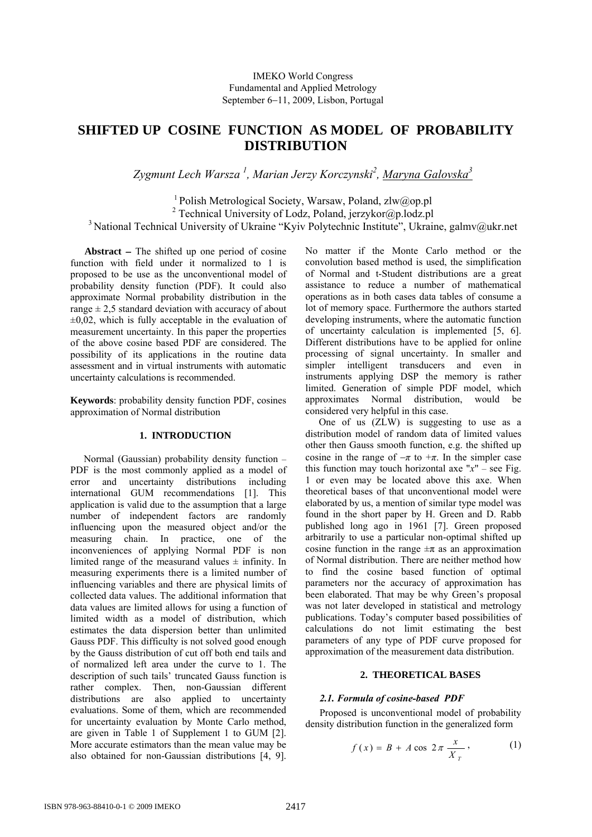# **SHIFTED UP COSINE FUNCTION AS MODEL OF PROBABILITY DISTRIBUTION**

Zygmunt Lech Warsza <sup>1</sup>, Marian Jerzy Korczynski<sup>2</sup>, <u>Maryna Galovska<sup>3</sup></u>

<sup>1</sup> Polish Metrological Society, Warsaw, Poland, zlw@op.pl 2 Technical University of Lodz, Poland, jerzykor@p.lodz.pl <sup>3</sup> National Technical University of Ukraine "Kyiv Polytechnic Institute", Ukraine, galmy@ukr.net

**Abstract** − The shifted up one period of cosine function with field under it normalized to 1 is proposed to be use as the unconventional model of probability density function (PDF). It could also approximate Normal probability distribution in the range  $\pm$  2,5 standard deviation with accuracy of about  $\pm 0.02$ , which is fully acceptable in the evaluation of measurement uncertainty. In this paper the properties of the above cosine based PDF are considered. The possibility of its applications in the routine data assessment and in virtual instruments with automatic uncertainty calculations is recommended.

**Keywords**: probability density function PDF, cosines approximation of Normal distribution

# **1. INTRODUCTION**

Normal (Gaussian) probability density function – PDF is the most commonly applied as a model of error and uncertainty distributions including international GUM recommendations [1]. This application is valid due to the assumption that a large number of independent factors are randomly influencing upon the measured object and/or the measuring chain. In practice, one of the inconveniences of applying Normal PDF is non limited range of the measurand values  $\pm$  infinity. In measuring experiments there is a limited number of influencing variables and there are physical limits of collected data values. The additional information that data values are limited allows for using a function of limited width as a model of distribution, which estimates the data dispersion better than unlimited Gauss PDF. This difficulty is not solved good enough by the Gauss distribution of cut off both end tails and of normalized left area under the curve to 1. The description of such tails' truncated Gauss function is rather complex. Then, non-Gaussian different distributions are also applied to uncertainty evaluations. Some of them, which are recommended for uncertainty evaluation by Monte Carlo method, are given in Table 1 of Supplement 1 to GUM [2]. More accurate estimators than the mean value may be also obtained for non-Gaussian distributions [4, 9].

No matter if the Monte Carlo method or the convolution based method is used, the simplification of Normal and t-Student distributions are a great assistance to reduce a number of mathematical operations as in both cases data tables of consume a lot of memory space. Furthermore the authors started developing instruments, where the automatic function of uncertainty calculation is implemented [5, 6]. Different distributions have to be applied for online processing of signal uncertainty. In smaller and simpler intelligent transducers and even in instruments applying DSP the memory is rather limited. Generation of simple PDF model, which approximates Normal distribution, would be considered very helpful in this case.

One of us (ZLW) is suggesting to use as a distribution model of random data of limited values other then Gauss smooth function, e.g. the shifted up cosine in the range of  $-\pi$  to  $+\pi$ . In the simpler case this function may touch horizontal axe " $x$ " – see Fig. 1 or even may be located above this axe. When theoretical bases of that unconventional model were elaborated by us, a mention of similar type model was found in the short paper by H. Green and D. Rabb published long ago in 1961 [7]. Green proposed arbitrarily to use a particular non-optimal shifted up cosine function in the range  $\pm \pi$  as an approximation of Normal distribution. There are neither method how to find the cosine based function of optimal parameters nor the accuracy of approximation has been elaborated. That may be why Green's proposal was not later developed in statistical and metrology publications. Today's computer based possibilities of calculations do not limit estimating the best parameters of any type of PDF curve proposed for approximation of the measurement data distribution.

# **2. THEORETICAL BASES**

## *2.1. Formula of cosine-based PDF*

Proposed is unconventional model of probability density distribution function in the generalized form

$$
f(x) = B + A \cos 2\pi \frac{x}{X_T}, \qquad (1)
$$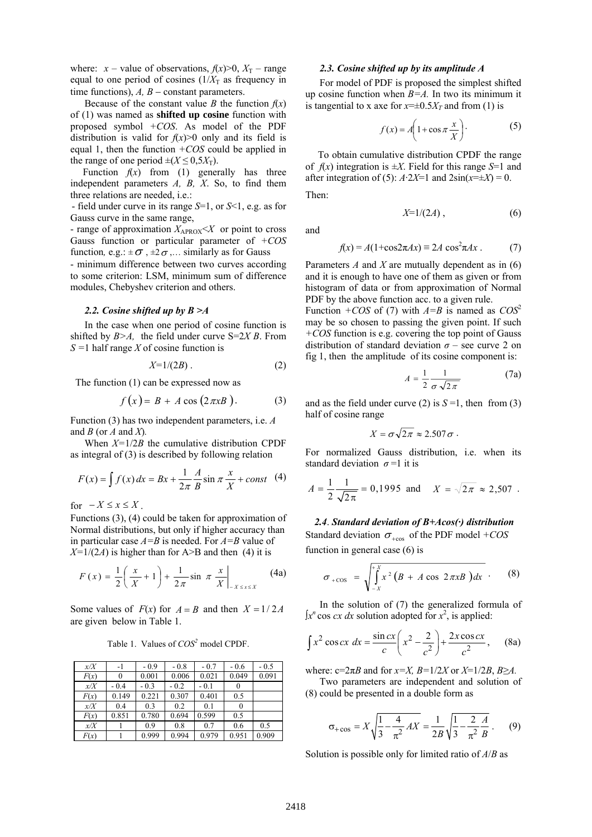where:  $x$  – value of observations,  $f(x) > 0$ ,  $X_T$  – range equal to one period of cosines  $(1/X_T)$  as frequency in time functions),  $A, B$  – constant parameters.

Because of the constant value *B* the function  $f(x)$ of (1) was named as **shifted up cosine** function with proposed symbol *+COS*. As model of the PDF distribution is valid for  $f(x) > 0$  only and its field is equal 1, then the function *+COS* could be applied in the range of one period  $\pm (X \le 0.5X_T)$ .

Function  $f(x)$  from (1) generally has three independent parameters *A, B, X*. So, to find them three relations are needed, i.e.:

- field under curve in its range *S*=1, or *S*<1, e.g. as for Gauss curve in the same range,

- range of approximation  $X_{APROX} \leq X$  or point to cross Gauss function or particular parameter of *+COS* function,  $e.g.: \pm \sigma$ ,  $\pm 2\sigma$ ,... similarly as for Gauss

- minimum difference between two curves according to some criterion: LSM, minimum sum of difference modules, Chebyshev criterion and others.

## *2.2. Cosine shifted up by B >A*

In the case when one period of cosine function is shifted by *B>A,* the field under curve S=2*X B*. From *S =*1 half range *X* of cosine function is

$$
X=1/(2B) \tag{2}
$$

The function (1) can be expressed now as

$$
f(x) = B + A \cos(2\pi x B). \tag{3}
$$

Function (3) has two independent parameters, i.e. *A* and *B* (or *A* and *X*)*.* 

When *X=*1/2*B* the cumulative distribution CPDF as integral of (3) is described by following relation

$$
F(x) = \int f(x) dx = Bx + \frac{1}{2\pi} \frac{A}{B} \sin \pi \frac{x}{X} + const \quad (4)
$$

for  $-X \leq x \leq X$ .

Functions (3), (4) could be taken for approximation of Normal distributions, but only if higher accuracy than in particular case *A=B* is needed. For *A=B* value of  $X=1/(2A)$  is higher than for A>B and then (4) it is

$$
F(x) = \frac{1}{2} \left( \frac{x}{X} + 1 \right) + \frac{1}{2\pi} \sin \pi \left. \frac{x}{X} \right|_{-X \le x \le X}
$$
 (4a)

Some values of  $F(x)$  for  $A = B$  and then  $X = 1/2A$ are given below in Table 1.

Table 1. Values of *COS<sup>2</sup>* model CPDF.

| x/X  | -1     | $-0.9$ | $-0.8$ | $-0.7$ | $-0.6$   | $-0.5$ |
|------|--------|--------|--------|--------|----------|--------|
| F(x) | 0      | 0.001  | 0.006  | 0.021  | 0.049    | 0.091  |
| x/X  | $-0.4$ | $-0.3$ | $-0.2$ | $-0.1$ | $\theta$ |        |
| F(x) | 0.149  | 0.221  | 0.307  | 0.401  | 0.5      |        |
| x/X  | 0.4    | 0.3    | 0.2    | 0.1    | 0        |        |
| F(x) | 0.851  | 0.780  | 0.694  | 0.599  | 0.5      |        |
| x/X  |        | 0.9    | 0.8    | 0.7    | 0.6      | 0.5    |
| F(x) |        | 0.999  | 0.994  | 0.979  | 0.951    | 0.909  |

#### *2.3. Cosine shifted up by its amplitude A*

For model of PDF is proposed the simplest shifted up cosine function when *B=A.* In two its minimum it is tangential to x axe for  $x=\pm 0.5X_T$  and from (1) is

$$
f(x) = A \left( 1 + \cos \pi \frac{x}{X} \right).
$$
 (5)

 To obtain cumulative distribution CPDF the range of  $f(x)$  integration is  $\pm X$ . Field for this range *S*=1 and after integration of (5):  $A \cdot 2X=1$  and  $2\sin(x=\pm X) = 0$ . Then:

$$
X=1/(2A)\,,\tag{6}
$$

and

$$
f(x) = A(1 + \cos 2\pi A x) \equiv 2A \cos^2 \pi A x \tag{7}
$$

Parameters *A* and *X* are mutually dependent as in (6) and it is enough to have one of them as given or from histogram of data or from approximation of Normal PDF by the above function acc. to a given rule. Function *+COS* of (7) with  $A = B$  is named as  $COS^2$ may be so chosen to passing the given point. If such *+COS* function is e.g. covering the top point of Gauss distribution of standard deviation  $\sigma$  – see curve 2 on fig 1, then the amplitude of its cosine component is:

$$
A = \frac{1}{2} \frac{1}{\sigma \sqrt{2\pi}} \tag{7a}
$$

and as the field under curve (2) is  $S = 1$ , then from (3) half of cosine range

$$
X = \sigma \sqrt{2\pi} \approx 2.507 \sigma.
$$

For normalized Gauss distribution, i.e. when its standard deviation  $\sigma = 1$  it is

$$
A = \frac{1}{2} \frac{1}{\sqrt{2\pi}} = 0,1995 \text{ and } X = \sqrt{2\pi} \approx 2,507.
$$

*2.4*. *Standard deviation of B+Acos(·) distribution*  Standard deviation  $\sigma_{+\cos}$  of the PDF model  $+COS$ function in general case (6) is

$$
\sigma_{+\cos} = \sqrt{\int_{-X}^{+X} x^2 (B + A \cos 2\pi x B) dx}
$$
 (8)

In the solution of (7) the generalized formula of  $\int x^n \cos cx \, dx$  solution adopted for  $x^2$ , is applied:

$$
\int x^2 \cos cx \, dx = \frac{\sin cx}{c} \left( x^2 - \frac{2}{c^2} \right) + \frac{2x \cos cx}{c^2}, \qquad (8a)
$$

where:  $c=2\pi B$  and for  $x=X$ ,  $B=1/2X$  or  $X=1/2B$ ,  $B\geq A$ .

Two parameters are independent and solution of (8) could be presented in a double form as

$$
\sigma_{+\cos} = X \sqrt{\frac{1}{3} - \frac{4}{\pi^2} A X} = \frac{1}{2B} \sqrt{\frac{1}{3} - \frac{2}{\pi^2} \frac{A}{B}}.
$$
 (9)

Solution is possible only for limited ratio of *A*/*B* as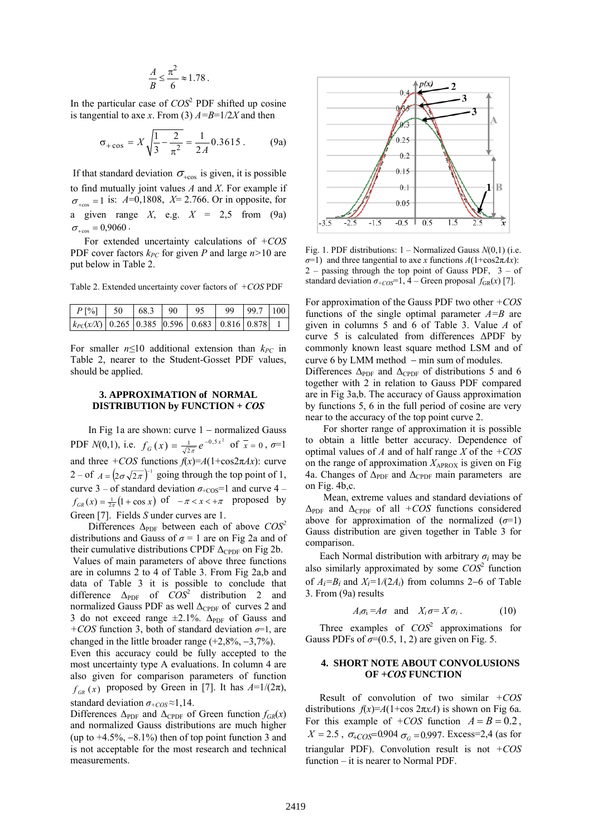$$
\frac{A}{B} \le \frac{\pi^2}{6} \approx 1.78 \ .
$$

In the particular case of  $COS<sup>2</sup>$  PDF shifted up cosine is tangential to axe *x*. From (3)  $A=B=1/2X$  and then

$$
\sigma_{+\cos} = X \sqrt{\frac{1}{3} - \frac{2}{\pi^2}} = \frac{1}{2A} 0.3615 \,. \tag{9a}
$$

If that standard deviation  $\sigma_{\text{teos}}$  is given, it is possible to find mutually joint values *A* and *X*. For example if  $\sigma_{\text{t}$ cos = 1 is:  $A=0,1808, X=2.766$ . Or in opposite, for a given range  $X$ , e.g.  $X = 2.5$  from (9a)  $\sigma_{+cos} = 0,9060$ .

For extended uncertainty calculations of *+COS* PDF cover factors  $k_{PC}$  for given P and large  $n>10$  are put below in Table 2.

Table 2. Extended uncertainty cover factors of *+COS* PDF

| $k_{PC}(x/X)$ 0.265 0.385 0.596 0.683 0.816 0.878 1 |  |  |  |  |
|-----------------------------------------------------|--|--|--|--|

For smaller  $n \leq 10$  additional extension than  $k_{PC}$  in Table 2, nearer to the Student-Gosset PDF values, should be applied.

#### **3. APPROXIMATION of NORMAL DISTRIBUTION by FUNCTION +** *COS*

In Fig 1a are shown: curve 1 − normalized Gauss PDF *N*(0,1), i.e.  $f_G(x) = \frac{1}{\sqrt{2\pi}} e^{-0.5x^2}$  of  $\bar{x} = 0$ ,  $\sigma = 1$ and three  $+COS$  functions  $f(x)=A(1+\cos 2\pi Ax)$ : curve 2 – of  $A = (2\sigma\sqrt{2\pi})^{-1}$  going through the top point of 1, curve 3 – of standard deviation  $\sigma_{+COS}$ =1 and curve 4 –  $f_{GR}(x) = \frac{1}{2\pi} (1 + \cos x)$  of  $-\pi < x < +\pi$  proposed by Green [7]. Fields *S* under curves are 1.

Differences  $\Delta_{\text{PDF}}$  between each of above  $COS^2$ distributions and Gauss of  $\sigma = 1$  are on Fig 2a and of their cumulative distributions CPDF  $\Delta_{\text{CPDF}}$  on Fig 2b.

 Values of main parameters of above three functions are in columns 2 to 4 of Table 3. From Fig 2a,b and data of Table 3 it is possible to conclude that difference  $\Delta_{PDF}$  of  $\overline{COS}^2$  distribution 2 and normalized Gauss PDF as well  $\Delta_{\text{CPDF}}$  of curves 2 and 3 do not exceed range  $\pm 2.1\%$ .  $\Delta_{PDF}$  of Gauss and *+COS* function 3, both of standard deviation *σ*=1, are changed in the little broader range  $(+2.8\%,-3.7\%)$ .

Even this accuracy could be fully accepted to the most uncertainty type A evaluations. In column 4 are also given for comparison parameters of function  $f_{GR}(x)$  proposed by Green in [7]. It has  $A=1/(2\pi)$ , standard deviation  $\sigma_{+COS} \approx 1,14$ .

Differences  $\Delta_{\text{PDF}}$  and  $\Delta_{\text{CPDF}}$  of Green function  $f_{GR}(x)$ and normalized Gauss distributions are much higher (up to  $+4.5\%$ ,  $-8.1\%$ ) then of top point function 3 and is not acceptable for the most research and technical measurements.



Fig. 1. PDF distributions: 1 – Normalized Gauss *N*(0,1) (i.e. *σ*=1) and three tangential to axe *x* functions  $A(1+\cos 2πAx)$ :  $2$  – passing through the top point of Gauss PDF,  $3 - of$ standard deviation  $\sigma_{+COS} = 1$ , 4 – Green proposal  $f_{GR}(x)$  [7].

For approximation of the Gauss PDF two other *+COS* functions of the single optimal parameter *A=B* are given in columns 5 and 6 of Table 3. Value *A* of curve 5 is calculated from differences ΔPDF by commonly known least square method LSM and of curve 6 by LMM method − min sum of modules.

Differences  $\Delta_{\text{PDF}}$  and  $\Delta_{\text{CPDF}}$  of distributions 5 and 6 together with 2 in relation to Gauss PDF compared are in Fig 3a,b. The accuracy of Gauss approximation by functions 5, 6 in the full period of cosine are very near to the accuracy of the top point curve 2.

For shorter range of approximation it is possible to obtain a little better accuracy. Dependence of optimal values of *A* and of half range *X* of the *+COS* on the range of approximation  $X_{APROX}$  is given on Fig 4a. Changes of  $\Delta_{\text{PDF}}$  and  $\Delta_{\text{CPDF}}$  main parameters are on Fig. 4b,c.

Mean, extreme values and standard deviations of  $\Delta_{\text{PDF}}$  and  $\Delta_{\text{CPDF}}$  of all *+COS* functions considered above for approximation of the normalized  $(\sigma=1)$ Gauss distribution are given together in Table 3 for comparison.

Each Normal distribution with arbitrary  $\sigma_i$  may be also similarly approximated by some  $COS<sup>2</sup>$  function of *Ai=Bi* and *Xi=*1*/*(2*Ai*) from columns 2−6 of Table 3. From (9a) results

$$
A_i \sigma_i = A \sigma \text{ and } X_i \sigma = X \sigma_i. \qquad (10)
$$

Three examples of *COS*<sup>2</sup> approximations for Gauss PDFs of  $\sigma$ =(0.5, 1, 2) are given on Fig. 5.

### **4. SHORT NOTE ABOUT CONVOLUSIONS OF** *+COS* **FUNCTION**

Result of convolution of two similar *+COS* distributions  $f(x)=A(1+\cos 2\pi x)$  is shown on Fig 6a. For this example of  $+COS$  function  $A = B = 0.2$ ,  $X = 2.5$ ,  $\sigma_{+COS} = 0.904$   $\sigma_{G} = 0.997$ . Excess=2,4 (as for triangular PDF). Convolution result is not *+COS* function – it is nearer to Normal PDF.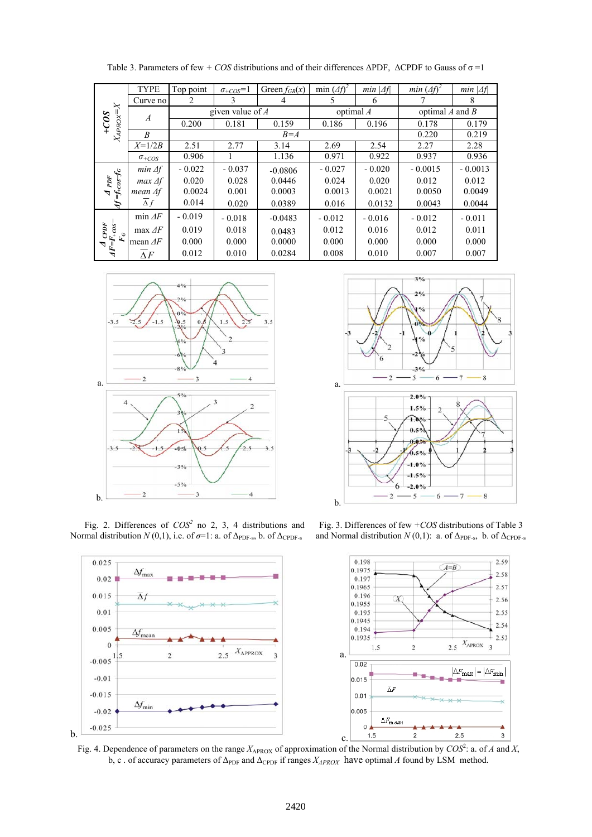| ≍<br>$X_{\mathcal{A}P\mathcal{R}\mathcal{O}}\mathcal{\times}$<br>$+CO3$    | <b>TYPE</b>              | Top point          | $\sigma_{+COS}=1$ | Green $f_{GR}(x)$ | min $(4f)2$       | $min \vert \Delta f \vert$ | min $(\Delta f)^2$  | $min \vert \Delta f \vert$ |
|----------------------------------------------------------------------------|--------------------------|--------------------|-------------------|-------------------|-------------------|----------------------------|---------------------|----------------------------|
|                                                                            | Curve no                 | 2                  | 3                 | 4                 | 5                 | 6                          |                     | 8                          |
|                                                                            | $\boldsymbol{A}$         | given value of $A$ |                   |                   | optimal $\Lambda$ |                            | optimal $A$ and $B$ |                            |
|                                                                            |                          | 0.200              | 0.181             | 0.159             | 0.186             | 0.196                      | 0.178               | 0.179                      |
|                                                                            | B                        | $B = A$            |                   |                   |                   |                            | 0.220               | 0.219                      |
|                                                                            | $X=1/2B$                 | 2.51               | 2.77              | 3.14              | 2.69              | 2.54                       | 2.27                | 2.28                       |
|                                                                            | $\sigma$ <sub>+COS</sub> | 0.906              |                   | 1.136             | 0.971             | 0.922                      | 0.937               | 0.936                      |
| $=f_{+cos}f_{c}$<br>$\mathcal{P}\mathcal{D}F$<br>$\triangledown$<br>ب<br>ح | $min \Delta f$           | $-0.022$           | $-0.037$          | $-0.0806$         | $-0.027$          | $-0.020$                   | $-0.0015$           | $-0.0013$                  |
|                                                                            | $max\Delta f$            | 0.020              | 0.028             | 0.0446            | 0.024             | 0.020                      | 0.012               | 0.012                      |
|                                                                            | mean $\Delta f$          | 0.0024             | 0.001             | 0.0003            | 0.0013            | 0.0021                     | 0.0050              | 0.0049                     |
|                                                                            | $\Delta f$               | 0.014              | 0.020             | 0.0389            | 0.016             | 0.0132                     | 0.0043              | 0.0044                     |
| CPF<br>$F = F + cos^{-1}$<br>$F_{\rm c}$<br>ゴ                              | min $\Delta F$           | $-0.019$           | $-0.018$          | $-0.0483$         | $-0.012$          | $-0.016$                   | $-0.012$            | $-0.011$                   |
|                                                                            | $\max\Delta F$           | 0.019              | 0.018             | 0.0483            | 0.012             | 0.016                      | 0.012               | 0.011                      |
|                                                                            | mean $\Delta F$          | 0.000              | 0.000             | 0.0000            | 0.000             | 0.000                      | 0.000               | 0.000                      |
|                                                                            | $\Lambda F$              | 0.012              | 0.010             | 0.0284            | 0.008             | 0.010                      | 0.007               | 0.007                      |

Table 3. Parameters of few *+ COS* distributions and of their differences ΔPDF, ΔCPDF to Gauss of σ =1



Fig. 2. Differences of  $COS<sup>2</sup>$  no 2, 3, 4 distributions and Normal distribution *N* (0,1), i.e. of  $\sigma$ =1: a. of  $\Delta_{\text{PDF-s}}$ , b. of  $\Delta_{\text{CPDF-s}}$ 



Fig. 3. Differences of few *+COS* distributions of Table 3 and Normal distribution  $N(0,1)$ : a. of  $\Delta_{\text{PDF-s}}$ , b. of  $\Delta_{\text{CPDF-s}}$ 



Fig. 4. Dependence of parameters on the range  $X_{APROX}$  of approximation of the Normal distribution by  $COS^2$ : a. of *A* and *X*, b, c . of accuracy parameters of  $\Delta_{\text{PDF}}$  and  $\Delta_{\text{CPDF}}$  if ranges  $X_{APROX}$  have optimal *A* found by LSM method.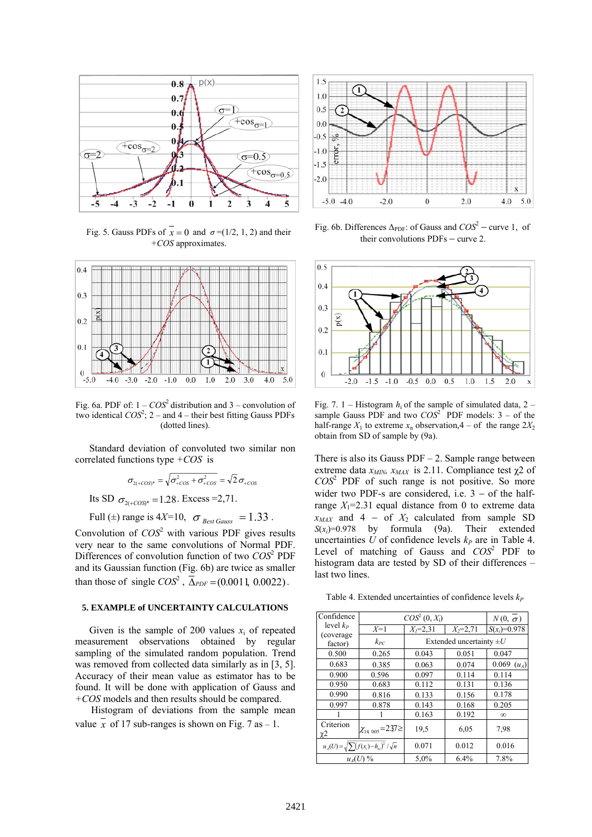

Fig. 5. Gauss PDFs of  $\overline{x} = 0$  and  $\sigma = (1/2, 1, 2)$  and their *+COS* approximates.



Fig. 6a. PDF of:  $1 - COS^2$  distribution and  $3 -$  convolution of two identical  $COS^2$ ; 2 – and 4 – their best fitting Gauss PDFs (dotted lines).

Standard deviation of convoluted two similar non correlated functions type *+COS* is

$$
\sigma_{2(+\text{COS})^*} = \sqrt{\sigma_{+\text{COS}}^2 + \sigma_{+\text{COS}}^2} = \sqrt{2} \,\sigma_{+\text{COS}}
$$

Its SD  $\sigma_{2(+\text{COS})^*} = 1.28$ . Excess = 2,71.

Full ( $\pm$ ) range is 4*X*=10,  $\sigma_{\text{BestGauss}} = 1.33$ .

Convolution of  $COS<sup>2</sup>$  with various PDF gives results very near to the same convolutions of Normal PDF. Differences of convolution function of two *COS*<sup>2</sup> PDF and its Gaussian function (Fig. 6b) are twice as smaller than those of single  $COS^2$ ,  $\overline{\Delta}_{PDF} = (0.0011, 0.0022)$ .

#### **5. EXAMPLE of UNCERTAINTY CALCULATIONS**

Given is the sample of 200 values  $x_i$  of repeated measurement observations obtained by regular sampling of the simulated random population. Trend was removed from collected data similarly as in [3, 5]. Accuracy of their mean value as estimator has to be found. It will be done with application of Gauss and *+COS* models and then results should be compared.

Histogram of deviations from the sample mean value  $\overline{x}$  of 17 sub-ranges is shown on Fig. 7 as – 1.



Fig. 6b. Differences Δ<sub>PDF</sub>: of Gauss and *COS*<sup>2</sup> − curve 1, of their convolutions PDFs − curve 2.



Fig. 7. 1 – Histogram  $h_i$  of the sample of simulated data,  $2$ sample Gauss PDF and two  $COS<sup>2</sup>$  PDF models:  $3 - of$  the half-range  $X_1$  to extreme  $x_n$  observation,  $4 - of$  the range  $2X_2$ obtain from SD of sample by (9a).

There is also its Gauss  $PDF - 2$ . Sample range between extreme data  $x_{MIN}$ ,  $x_{MAX}$  is 2.11. Compliance test  $\chi$ 2 of *COS*<sup>2</sup> PDF of such range is not positive. So more wider two PDF-s are considered, i.e.  $3 - of$  the halfrange  $X_1$ =2.31 equal distance from 0 to extreme data  $x_{MAX}$  and 4 – of  $X_2$  calculated from sample SD *S*(*xi*)=0.978 by formula (9a). Their extended uncertainties *U* of confidence levels  $k_P$  are in Table 4. Level of matching of Gauss and  $COS<sup>2</sup>$  PDF to histogram data are tested by SD of their differences – last two lines.

Table 4. Extended uncertainties of confidence levels  $k_P$ 

| Confidence            | $COS^2(0, X_i)$                                         | $N(0, \sigma)$ |                              |                  |  |
|-----------------------|---------------------------------------------------------|----------------|------------------------------|------------------|--|
| level $k_P$           | $X=1$                                                   | $X_i = 2.31$   | $X_2 = 2.71$                 | $S(x_i)=0.978$   |  |
| (coverage)<br>factor) | $k_{PC}$                                                |                | Extended uncertainty $\pm U$ |                  |  |
| 0.500                 | 0.265                                                   | 0.043          | 0.051                        | 0.047            |  |
| 0.683                 | 0.385                                                   | 0.063          | 0.074                        | 0.069<br>$(u_4)$ |  |
| 0.900                 | 0.596                                                   | 0.097          | 0.114                        | 0.114            |  |
| 0.950                 | 0.683                                                   | 0.112          | 0.131                        | 0.136            |  |
| 0.990                 | 0.816                                                   | 0.133          | 0.156                        | 0.178            |  |
| 0.997                 | 0.878                                                   | 0.143          | 0.168                        | 0.205            |  |
|                       |                                                         | 0.163          | 0.192                        | $\infty$         |  |
| Criterion<br>χ2       | $\chi_{14\ 0.05} = 237 \geq$                            | 19.5           | 6,05                         | 7.98             |  |
|                       | $u_{A}(U) = \sqrt{\sum (f(x_i) - h_{xi})^2} / \sqrt{n}$ | 0.071          | 0.012                        | 0.016            |  |
|                       | $u_A(U)$ %                                              | 5,0%           | 6.4%                         | 7.8%             |  |